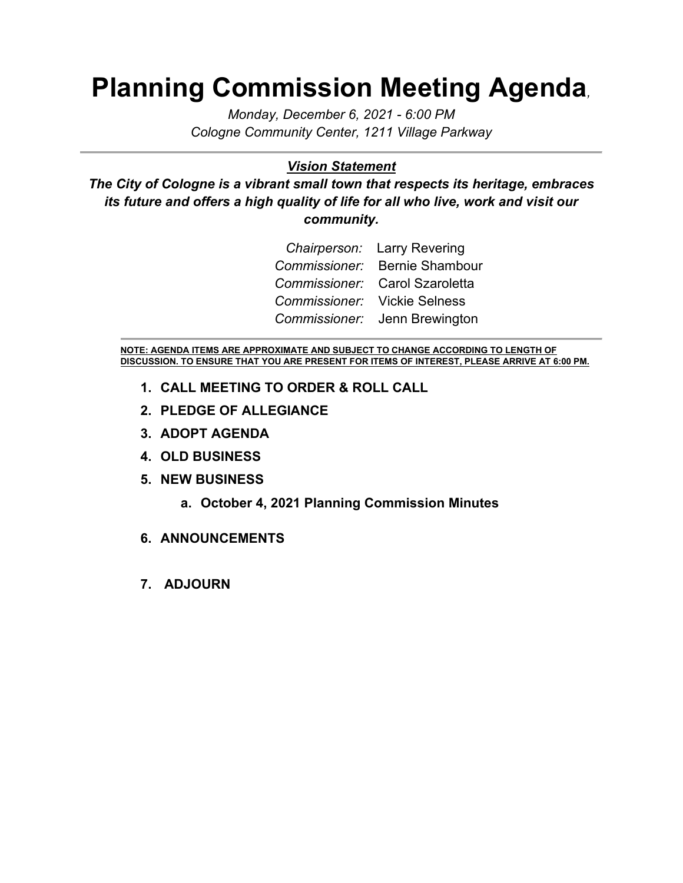# **Planning Commission Meeting Agenda***,*

*Monday, December 6, 2021 - 6:00 PM Cologne Community Center, 1211 Village Parkway*

#### *Vision Statement*

*The City of Cologne is a vibrant small town that respects its heritage, embraces its future and offers a high quality of life for all who live, work and visit our community.*

|                              | Chairperson: Larry Revering    |
|------------------------------|--------------------------------|
|                              | Commissioner: Bernie Shambour  |
|                              | Commissioner: Carol Szaroletta |
| Commissioner: Vickie Selness |                                |
|                              | Commissioner: Jenn Brewington  |

**NOTE: AGENDA ITEMS ARE APPROXIMATE AND SUBJECT TO CHANGE ACCORDING TO LENGTH OF DISCUSSION. TO ENSURE THAT YOU ARE PRESENT FOR ITEMS OF INTEREST, PLEASE ARRIVE AT 6:00 PM.**

- **1. CALL MEETING TO ORDER & ROLL CALL**
- **2. PLEDGE OF ALLEGIANCE**
- **3. ADOPT AGENDA**
- **4. OLD BUSINESS**
- **5. NEW BUSINESS**
	- **a. October 4, 2021 Planning Commission Minutes**
- **6. ANNOUNCEMENTS**
- **7. ADJOURN**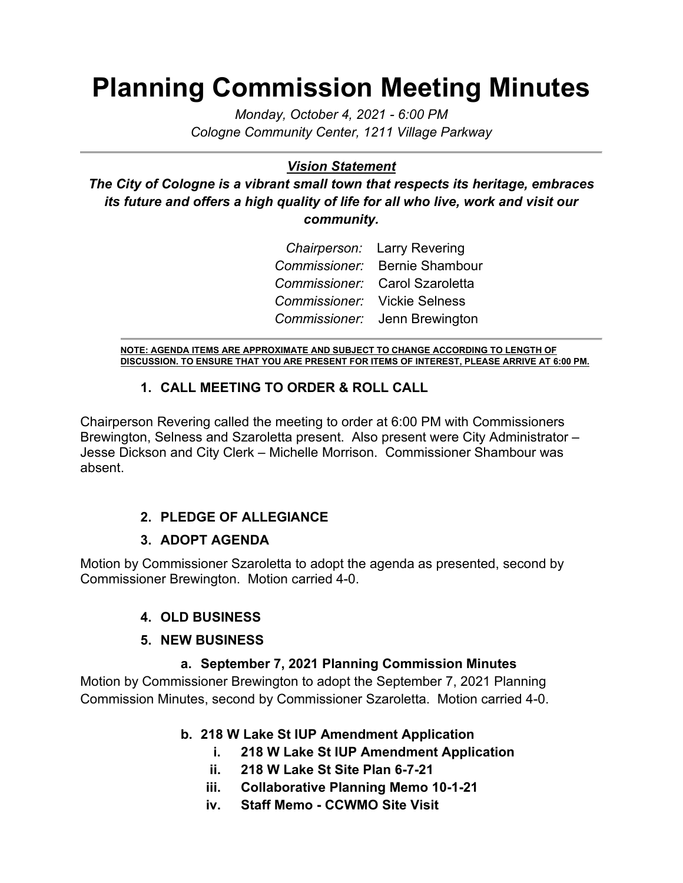# **Planning Commission Meeting Minutes**

*Monday, October 4, 2021 - 6:00 PM Cologne Community Center, 1211 Village Parkway*

#### *Vision Statement*

*The City of Cologne is a vibrant small town that respects its heritage, embraces its future and offers a high quality of life for all who live, work and visit our community.*

|                              | Chairperson: Larry Revering    |
|------------------------------|--------------------------------|
|                              | Commissioner: Bernie Shambour  |
|                              | Commissioner: Carol Szaroletta |
| Commissioner: Vickie Selness |                                |
|                              | Commissioner: Jenn Brewington  |

**NOTE: AGENDA ITEMS ARE APPROXIMATE AND SUBJECT TO CHANGE ACCORDING TO LENGTH OF DISCUSSION. TO ENSURE THAT YOU ARE PRESENT FOR ITEMS OF INTEREST, PLEASE ARRIVE AT 6:00 PM.**

#### **1. CALL MEETING TO ORDER & ROLL CALL**

Chairperson Revering called the meeting to order at 6:00 PM with Commissioners Brewington, Selness and Szaroletta present. Also present were City Administrator – Jesse Dickson and City Clerk – Michelle Morrison. Commissioner Shambour was absent.

## **2. PLEDGE OF ALLEGIANCE**

## **3. ADOPT AGENDA**

Motion by Commissioner Szaroletta to adopt the agenda as presented, second by Commissioner Brewington. Motion carried 4-0.

## **4. OLD BUSINESS**

#### **5. NEW BUSINESS**

## **a. September 7, 2021 Planning Commission Minutes**

Motion by Commissioner Brewington to adopt the September 7, 2021 Planning Commission Minutes, second by Commissioner Szaroletta. Motion carried 4-0.

## **b. 218 W Lake St IUP Amendment Application**

- **i. 218 W Lake St IUP Amendment Application**
- **ii. 218 W Lake St Site Plan 6-7-21**
- **iii. Collaborative Planning Memo 10-1-21**
- **iv. Staff Memo - CCWMO Site Visit**